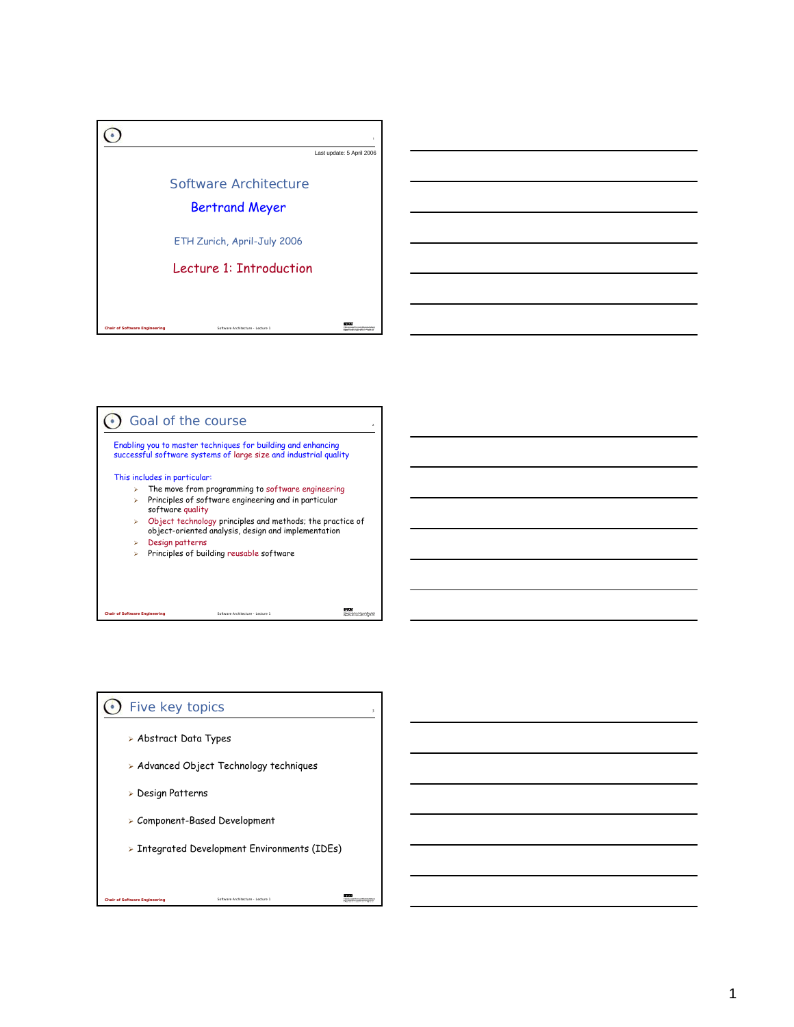



### $\odot$  Five key topics

- ¾ Abstract Data Types
- ¾ Advanced Object Technology techniques
- ¾ Design Patterns

*Chair of Software Engle* 

- ¾ Component-Based Development
- ¾ Integrated Development Environments (IDEs)

Software Arch

蓝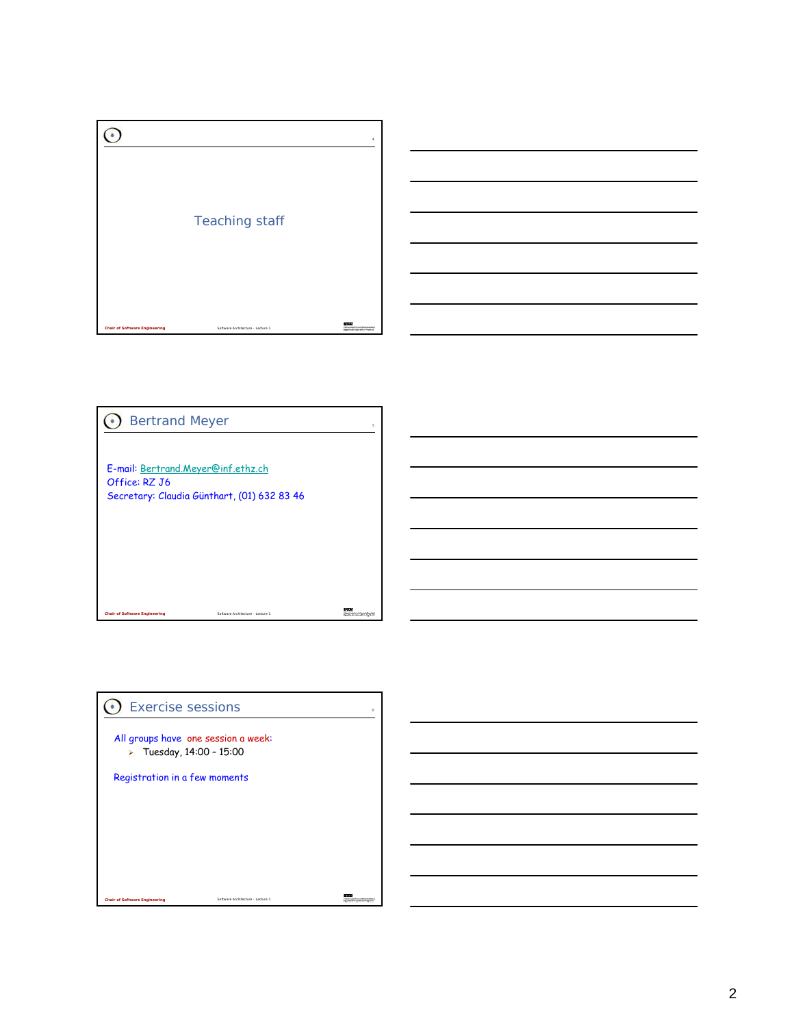





Software Architecture 1

 $\frac{1}{2}$ 

*chair Software Engineering* 

Office: RZ J6

**O** Bertrand Meyer

E-mail: Bertrand.Meyer@inf.ethz.ch

Secretary: Claudia Günthart, (01) 632 83 46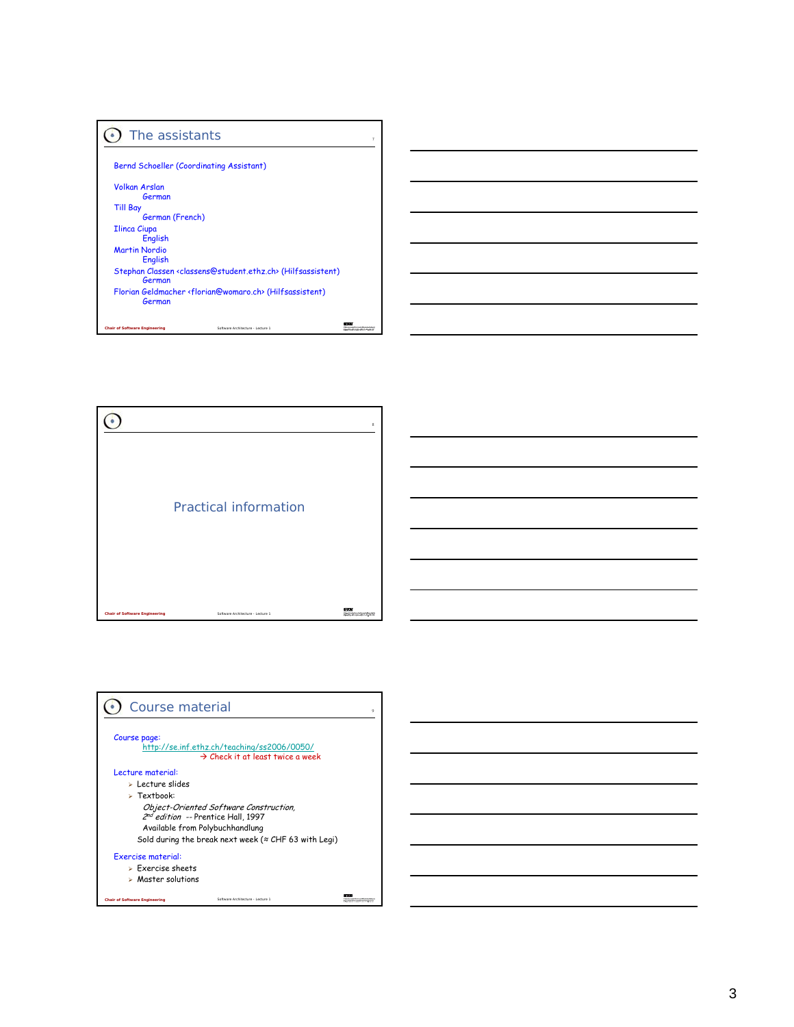| The assistants                                                                                    |  |
|---------------------------------------------------------------------------------------------------|--|
|                                                                                                   |  |
| Bernd Schoeller (Coordinating Assistant)                                                          |  |
| <b>Volkan Arslan</b>                                                                              |  |
| German                                                                                            |  |
| <b>Till Bay</b>                                                                                   |  |
| German (French)                                                                                   |  |
| <b>Ilinca Ciupa</b>                                                                               |  |
| <b>English</b>                                                                                    |  |
| <b>Martin Nordio</b>                                                                              |  |
| <b>English</b>                                                                                    |  |
| Stephan Classen <classens@student.ethz.ch> (Hilfsassistent)<br/>German</classens@student.ethz.ch> |  |
| Florian Geldmacher <florian@womaro.ch> (Hilfsassistent)<br/>German</florian@womaro.ch>            |  |
| <b>Chair of Software Engineering</b><br>Software Architecture - Lecture 1                         |  |



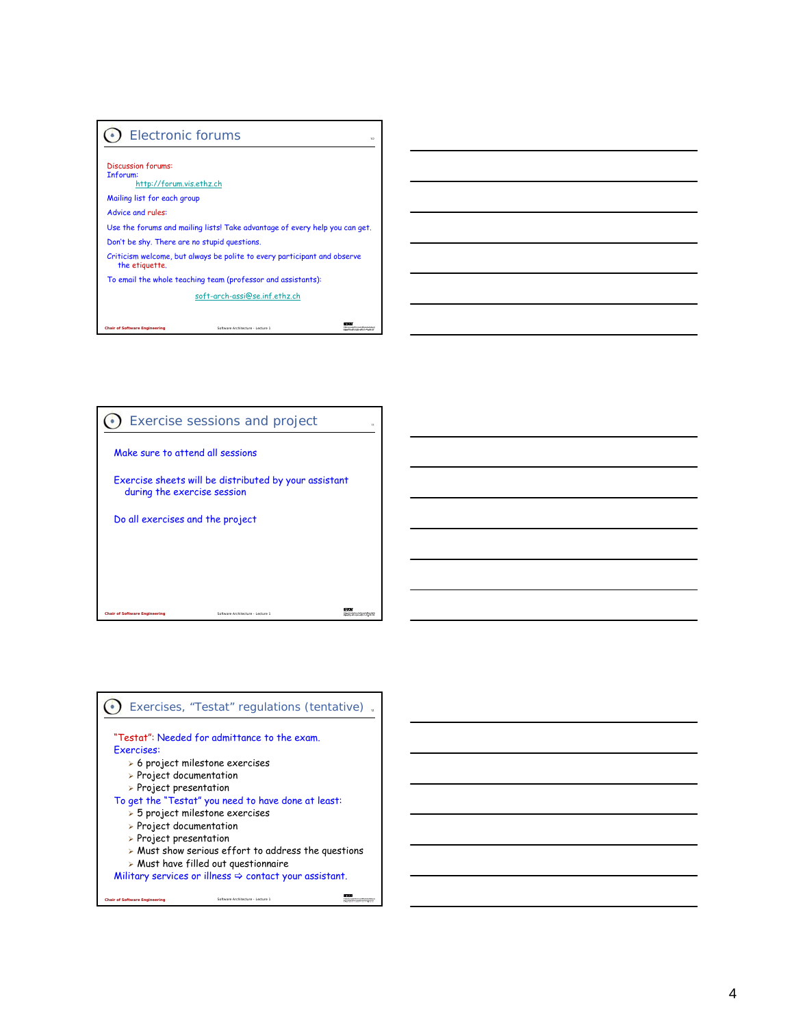## Electronic forums

*Chair of Software Engineering*

Discussion forums: Inforum: http://forum.vis.ethz.ch Mailing list for each group Advice and rules: Use the forums and mailing lists! Take advantage of every help you can get. Don't be shy. There are no stupid questions. Criticism welcome, but always be polite to every participant and observe the etiquette. To email the whole teaching team (professor and assistants): soft-arch-assi@se.inf.ethz.ch

10

and a

Software Architecture - Lecture 1



#### Exercises, "Testat" regulations (tentative). "Testat": Needed for admittance to the exam. Exercises: ¾ 6 project milestone exercises ¾ Project documentation ¾ Project presentation To get the "Testat" you need to have done at least: ¾ 5 project milestone exercises ¾ Project documentation ¾ Project presentation ¾ Must show serious effort to address the questions  $\triangleright$  Must have filled out questionnaire Military services or illness  $\Leftrightarrow$  contact your assistant. 또 *Chair of Software Engineering* Software Architecture - Lecture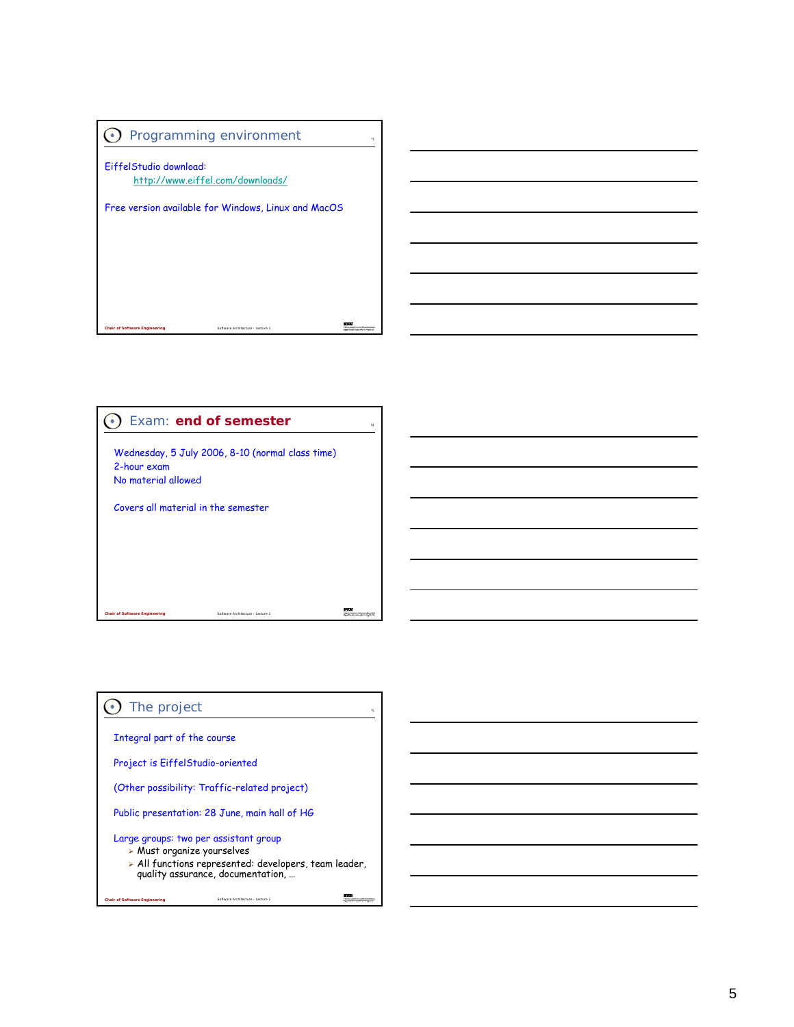



# **O** The project Integral part of the course Project is EiffelStudio-oriented (Other possibility: Traffic-related project) Public presentation: 28 June, main hall of HG Large groups: two per assistant group ¾ Must organize yourselves ¾ All functions represented: developers, team leader, quality assurance, documentation, … $\frac{279}{27222}$ *Chair of Software Engineering* Software Architecture - Lecture 1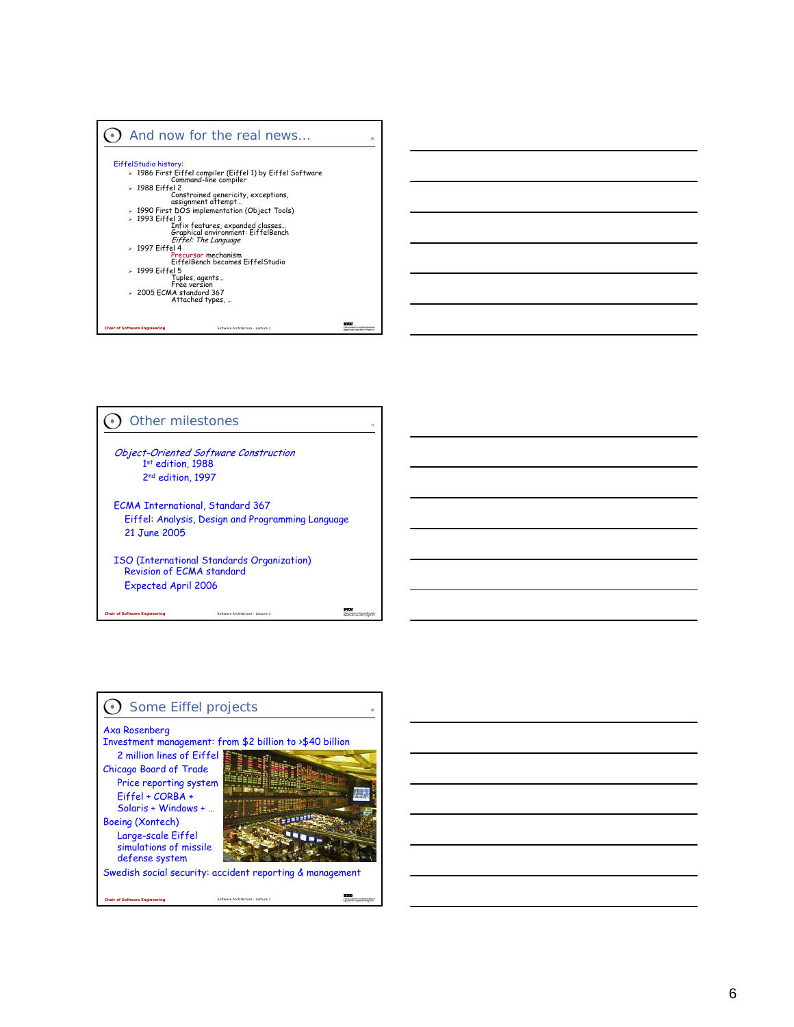



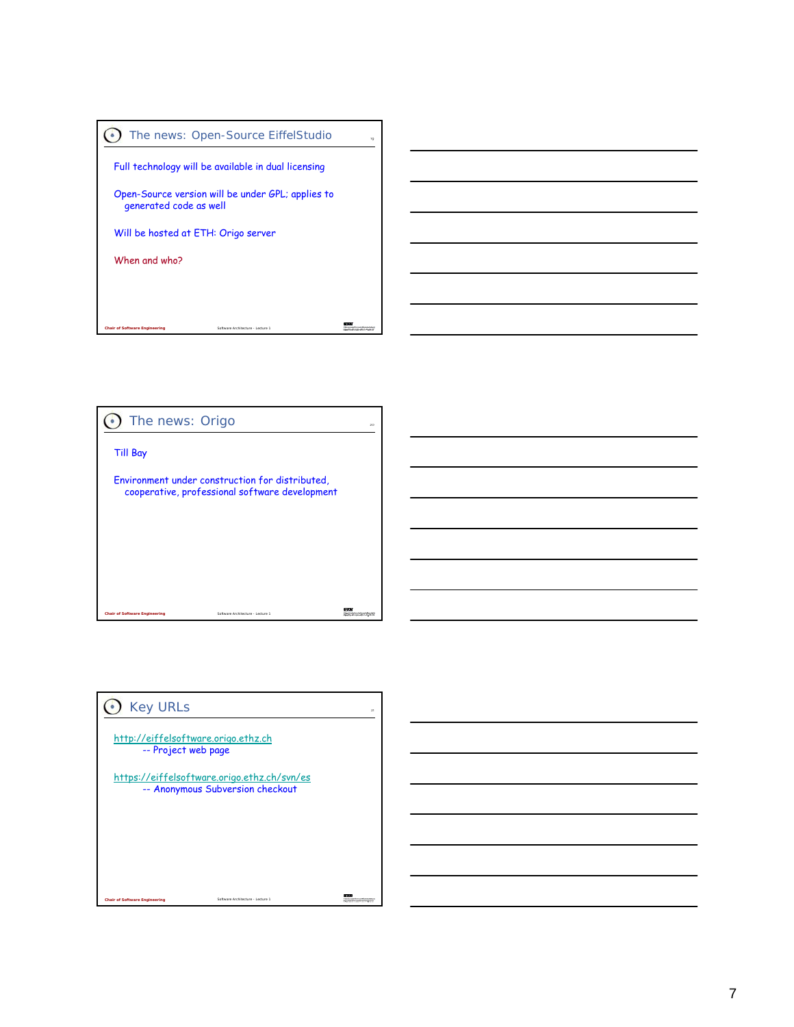



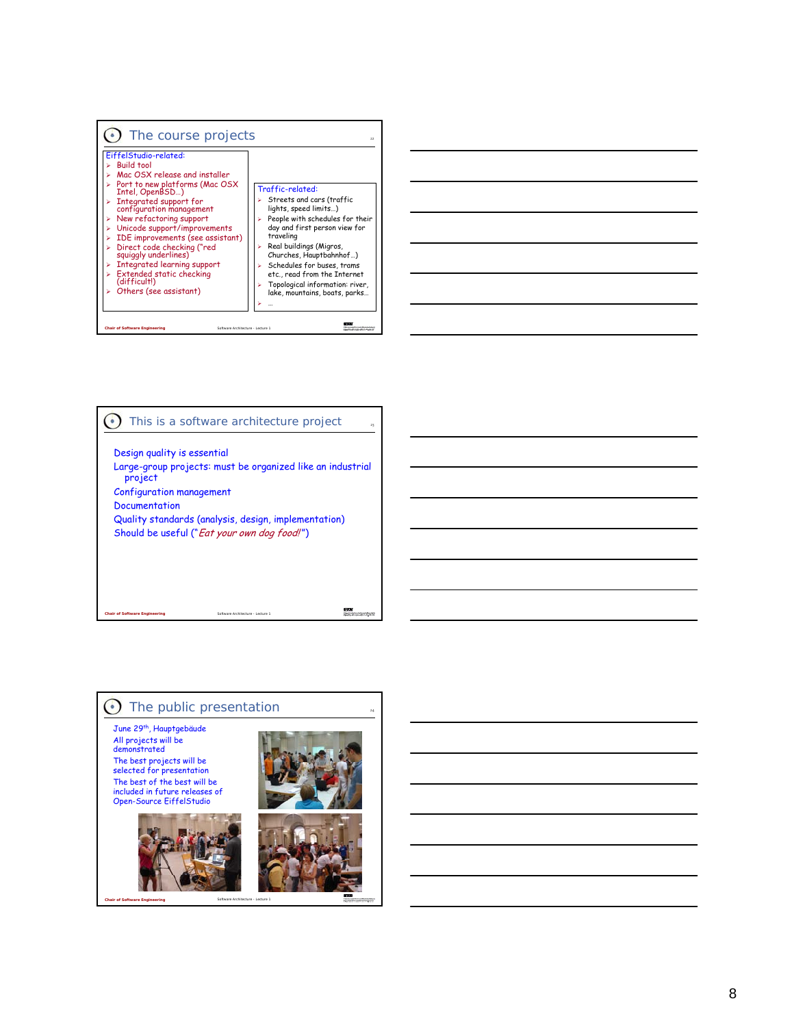

#### 23 **This is a software architecture project** Design quality is essential Large-group projects: must be organized like an industrial project Configuration management Documentation

Quality standards (analysis, design, implementation) Should be useful ("Eat your own dog food!")

Software Architecture - Lecture 1

Software Architecture - Lecture 1

## $\odot$  The public presentation

June 29th, Hauptgebäude All projects will be demonstrated The best projects will be selected for presentation The best of the best will be included in future releases of Open-Source EiffelStudio

*Chair of Software Engineering*

*Chair of Software Engineering*





24

**ATH**